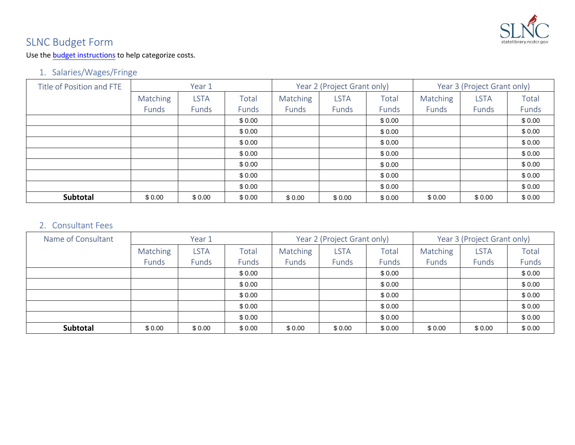

# SLNC Budget Form

Use the [budget instructions](https://statelibrary.ncdcr.gov/lsta-budget-form-instructions/open) to help categorize costs.

## 1. Salaries/Wages/Fringe

| Title of Position and FTE | Year 1   |             |        |          | Year 2 (Project Grant only) |        | Year 3 (Project Grant only) |             |        |
|---------------------------|----------|-------------|--------|----------|-----------------------------|--------|-----------------------------|-------------|--------|
|                           | Matching | <b>LSTA</b> | Total  | Matching | <b>LSTA</b>                 | Total  | <b>Matching</b>             | <b>LSTA</b> | Total  |
|                           | Funds    | Funds       | Funds  | Funds    | Funds                       | Funds  | Funds                       | Funds       | Funds  |
|                           |          |             | \$0.00 |          |                             | \$0.00 |                             |             | \$0.00 |
|                           |          |             | \$0.00 |          |                             | \$0.00 |                             |             | \$0.00 |
|                           |          |             | \$0.00 |          |                             | \$0.00 |                             |             | \$0.00 |
|                           |          |             | \$0.00 |          |                             | \$0.00 |                             |             | \$0.00 |
|                           |          |             | \$0.00 |          |                             | \$0.00 |                             |             | \$0.00 |
|                           |          |             | \$0.00 |          |                             | \$0.00 |                             |             | \$0.00 |
|                           |          |             | \$0.00 |          |                             | \$0.00 |                             |             | \$0.00 |
| Subtotal                  | \$0.00   | \$0.00      | \$0.00 | \$0.00   | \$0.00                      | \$0.00 | \$0.00                      | \$0.00      | \$0.00 |

### 2. Consultant Fees

|                    |          |             | \$0.00 |          |                             | \$0.00 |          |                             | \$0.00 |
|--------------------|----------|-------------|--------|----------|-----------------------------|--------|----------|-----------------------------|--------|
|                    |          |             | \$0.00 |          |                             | \$0.00 |          |                             | \$0.00 |
|                    |          |             | \$0.00 |          |                             | \$0.00 |          |                             | \$0.00 |
|                    |          |             | \$0.00 |          |                             | \$0.00 |          |                             | \$0.00 |
|                    |          |             | \$0.00 |          |                             | \$0.00 |          |                             | \$0.00 |
|                    |          |             | \$0.00 |          |                             | \$0.00 |          |                             | \$0.00 |
|                    |          |             | \$0.00 |          |                             | \$0.00 |          |                             | \$0.00 |
| Subtotal           | \$0.00   | \$0.00      | \$0.00 | \$0.00   | \$0.00                      | \$0.00 | \$0.00   | \$0.00                      | \$0.00 |
|                    |          |             |        |          |                             |        |          |                             |        |
| 2. Consultant Fees |          |             |        |          |                             |        |          |                             |        |
| Name of Consultant |          | Year 1      |        |          | Year 2 (Project Grant only) |        |          | Year 3 (Project Grant only) |        |
|                    | Matching | <b>LSTA</b> | Total  | Matching | <b>LSTA</b>                 | Total  | Matching | <b>LSTA</b>                 | Total  |
|                    | Funds    | Funds       | Funds  | Funds    | Funds                       | Funds  | Funds    | Funds                       | Funds  |
|                    |          |             | \$0.00 |          |                             | \$0.00 |          |                             | \$0.00 |
|                    |          |             | \$0.00 |          |                             | \$0.00 |          |                             | \$0.00 |
|                    |          |             | \$0.00 |          |                             | \$0.00 |          |                             | \$0.00 |
|                    |          |             | \$0.00 |          |                             | \$0.00 |          |                             | \$0.00 |
|                    |          |             | \$0.00 |          |                             | \$0.00 |          |                             | \$0.00 |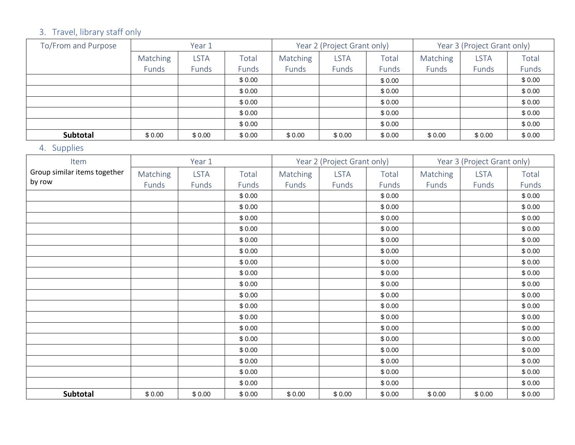# 3. Travel, library staff only

| To/From and Purpose | Year 1   |             |              |          | Year 2 (Project Grant only) |        | Year 3 (Project Grant only) |             |        |  |
|---------------------|----------|-------------|--------------|----------|-----------------------------|--------|-----------------------------|-------------|--------|--|
|                     | Matching | <b>LSTA</b> | Total        | Matching | LSTA                        | Total  | Matching                    | <b>LSTA</b> | Total  |  |
|                     | Funds    | Funds       | <b>Funds</b> | Funds    | Funds                       | Funds  | Funds                       | Funds       | Funds  |  |
|                     |          |             | \$0.00       |          |                             | \$0.00 |                             |             | \$0.00 |  |
|                     |          |             | \$0.00       |          |                             | \$0.00 |                             |             | \$0.00 |  |
|                     |          |             | \$0.00       |          |                             | \$0.00 |                             |             | \$0.00 |  |
|                     |          |             | \$0.00       |          |                             | \$0.00 |                             |             | \$0.00 |  |
|                     |          |             | \$0.00       |          |                             | \$0.00 |                             |             | \$0.00 |  |
| <b>Subtotal</b>     | \$0.00   | \$0.00      | \$0.00       | \$0.00   | \$0.00                      | \$0.00 | \$0.00                      | \$0.00      | \$0.00 |  |

## 4. Supplies

|                              |          |             | \$0.00 |          |                             | \$0.00 |          |                             | \$0.00 |
|------------------------------|----------|-------------|--------|----------|-----------------------------|--------|----------|-----------------------------|--------|
|                              |          |             | \$0.00 |          |                             | \$0.00 |          |                             | \$0.00 |
|                              |          |             | \$0.00 |          |                             | \$0.00 |          |                             | \$0.00 |
|                              |          |             | \$0.00 |          |                             | \$0.00 |          |                             | \$0.00 |
|                              |          |             | \$0.00 |          |                             | \$0.00 |          |                             | \$0.00 |
| Subtotal                     | \$0.00   | \$0.00      | \$0.00 | \$0.00   | \$0.00                      | \$0.00 | \$0.00   | \$0.00                      | \$0.00 |
| 4. Supplies                  |          |             |        |          |                             |        |          |                             |        |
| Item                         |          | Year 1      |        |          | Year 2 (Project Grant only) |        |          | Year 3 (Project Grant only) |        |
| Group similar items together | Matching | <b>LSTA</b> | Total  | Matching | <b>LSTA</b>                 | Total  | Matching | <b>LSTA</b>                 | Total  |
| by row                       | Funds    | Funds       | Funds  | Funds    | Funds                       | Funds  | Funds    | Funds                       | Funds  |
|                              |          |             | \$0.00 |          |                             | \$0.00 |          |                             | \$0.00 |
|                              |          |             | \$0.00 |          |                             | \$0.00 |          |                             | \$0.00 |
|                              |          |             | \$0.00 |          |                             | \$0.00 |          |                             | \$0.00 |
|                              |          |             | \$0.00 |          |                             | \$0.00 |          |                             | \$0.00 |
|                              |          |             | \$0.00 |          |                             | \$0.00 |          |                             | \$0.00 |
|                              |          |             | \$0.00 |          |                             | \$0.00 |          |                             | \$0.00 |
|                              |          |             | \$0.00 |          |                             | \$0.00 |          |                             | \$0.00 |
|                              |          |             | \$0.00 |          |                             | \$0.00 |          |                             | \$0.00 |
|                              |          |             | \$0.00 |          |                             | \$0.00 |          |                             | \$0.00 |
|                              |          |             | \$0.00 |          |                             | \$0.00 |          |                             | \$0.00 |
|                              |          |             | \$0.00 |          |                             | \$0.00 |          |                             | \$0.00 |
|                              |          |             | \$0.00 |          |                             | \$0.00 |          |                             | \$0.00 |
|                              |          |             | \$0.00 |          |                             | \$0.00 |          |                             | \$0.00 |
|                              |          |             | \$0.00 |          |                             | \$0.00 |          |                             | \$0.00 |
|                              |          |             | \$0.00 |          |                             | \$0.00 |          |                             | \$0.00 |
|                              |          |             | \$0.00 |          |                             | \$0.00 |          |                             | \$0.00 |
|                              |          |             | \$0.00 |          |                             | \$0.00 |          |                             | \$0.00 |
|                              |          |             | \$0.00 |          |                             | \$0.00 |          |                             | \$0.00 |
| Subtotal                     | \$0.00   | \$0.00      | \$0.00 | \$0.00   | \$0.00                      | \$0.00 | \$0.00   | \$0.00                      | \$0.00 |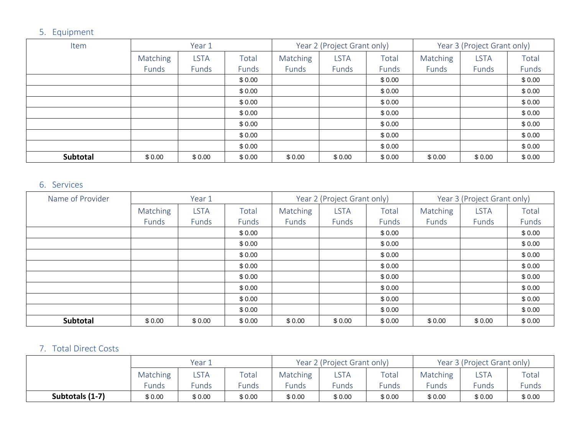## 5. Equipment

| Item     | Year 1          |             |        |                 | Year 2 (Project Grant only) |        | Year 3 (Project Grant only) |             |        |
|----------|-----------------|-------------|--------|-----------------|-----------------------------|--------|-----------------------------|-------------|--------|
|          | <b>Matching</b> | <b>LSTA</b> | Total  | <b>Matching</b> | <b>LSTA</b>                 | Total  | Matching                    | <b>LSTA</b> | Total  |
|          | Funds           | Funds       | Funds  | Funds           | Funds                       | Funds  | Funds                       | Funds       | Funds  |
|          |                 |             | \$0.00 |                 |                             | \$0.00 |                             |             | \$0.00 |
|          |                 |             | \$0.00 |                 |                             | \$0.00 |                             |             | \$0.00 |
|          |                 |             | \$0.00 |                 |                             | \$0.00 |                             |             | \$0.00 |
|          |                 |             | \$0.00 |                 |                             | \$0.00 |                             |             | \$0.00 |
|          |                 |             | \$0.00 |                 |                             | \$0.00 |                             |             | \$0.00 |
|          |                 |             | \$0.00 |                 |                             | \$0.00 |                             |             | \$0.00 |
|          |                 |             | \$0.00 |                 |                             | \$0.00 |                             |             | \$0.00 |
| Subtotal | \$0.00          | \$0.00      | \$0.00 | \$0.00          | \$0.00                      | \$0.00 | \$0.00                      | \$0.00      | \$0.00 |

## 6. Services

|                       |          |             | \$0.00 |          |                             | \$0.00 |          |                             | \$0.00 |
|-----------------------|----------|-------------|--------|----------|-----------------------------|--------|----------|-----------------------------|--------|
|                       |          |             | \$0.00 |          |                             | \$0.00 |          |                             | \$0.00 |
|                       |          |             | \$0.00 |          |                             | \$0.00 |          |                             | \$0.00 |
|                       |          |             | \$0.00 |          |                             | \$0.00 |          |                             | \$0.00 |
|                       |          |             | \$0.00 |          |                             | \$0.00 |          |                             | \$0.00 |
|                       |          |             | \$0.00 |          |                             | \$0.00 |          |                             | \$0.00 |
|                       |          |             | \$0.00 |          |                             | \$0.00 |          |                             | \$0.00 |
| Subtotal              | \$0.00   | \$0.00      | \$0.00 | \$0.00   | \$0.00                      | \$0.00 | \$0.00   | \$0.00                      | \$0.00 |
| 6. Services           |          |             |        |          |                             |        |          |                             |        |
| Name of Provider      |          | Year 1      |        |          | Year 2 (Project Grant only) |        |          | Year 3 (Project Grant only) |        |
|                       | Matching | <b>LSTA</b> | Total  | Matching | <b>LSTA</b>                 | Total  | Matching | <b>LSTA</b>                 | Total  |
|                       | Funds    | Funds       | Funds  | Funds    | Funds                       | Funds  | Funds    | Funds                       | Funds  |
|                       |          |             | \$0.00 |          |                             | \$0.00 |          |                             | \$0.00 |
|                       |          |             | \$0.00 |          |                             | \$0.00 |          |                             | \$0.00 |
|                       |          |             | \$0.00 |          |                             | \$0.00 |          |                             | \$0.00 |
|                       |          |             | \$0.00 |          |                             | \$0.00 |          |                             | \$0.00 |
|                       |          |             | \$0.00 |          |                             | \$0.00 |          |                             | \$0.00 |
|                       |          |             | \$0.00 |          |                             | \$0.00 |          |                             | \$0.00 |
|                       |          |             | \$0.00 |          |                             | \$0.00 |          |                             | \$0.00 |
|                       |          |             | \$0.00 |          |                             | \$0.00 |          |                             | \$0.00 |
| Subtotal              | \$0.00   | \$0.00      | \$0.00 | \$0.00   | \$0.00                      | \$0.00 | \$0.00   | \$0.00                      | \$0.00 |
| 7. Total Direct Costs |          |             |        |          |                             |        |          |                             |        |
|                       |          | Year 1      |        |          | Year 2 (Project Grant only) |        |          | Year 3 (Project Grant only) |        |
|                       | Matching | <b>LSTA</b> | Total  | Matching | <b>LSTA</b>                 | Total  | Matching | <b>LSTA</b>                 | Total  |
|                       | Funds    | Funds       | Funds  | Funds    | Funds                       | Funds  | Funds    | Funds                       | Funds  |
| Subtotals (1-7)       | \$0.00   | \$0.00      | \$0.00 | \$0.00   | \$0.00                      | \$0.00 | \$0.00   | \$0.00                      | \$0.00 |

### 7. Total Direct Costs

|                 |                         | Year 1  |                        |          | Year 2 (Project Grant only) |        | Year 3 (Project Grant only) |        |        |  |
|-----------------|-------------------------|---------|------------------------|----------|-----------------------------|--------|-----------------------------|--------|--------|--|
|                 | Matching                | $\_STA$ | $\tau$ <sub>otal</sub> | Matching | LSTA                        | Total  | <b>Matching</b>             | LSTA   | Total  |  |
|                 | Funds<br>Funds<br>Funds |         |                        | $c$ unds | Funds                       | Funds  | <b>Funds</b>                | Funds  | Funds  |  |
| Subtotals (1-7) | \$0.00                  | \$0.00  | \$0.00                 | \$0.00   | \$0.00                      | \$0.00 | \$0.00                      | \$0.00 | \$0.00 |  |